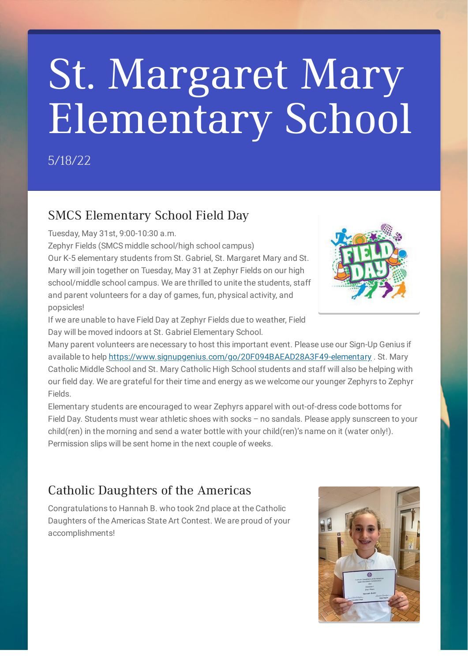# St. Margaret Mary Elementary School

5/18/22

#### SMCS Elementary School Field Day

Tuesday, May 31st, 9:00-10:30 a.m.

Zephyr Fields (SMCS middle school/high school campus)

Our K-5 elementary students from St. Gabriel, St. Margaret Mary and St. Mary will join together on Tuesday, May 31 at Zephyr Fields on our high school/middle school campus. We are thrilled to unite the students, staff and parent volunteers for a day of games, fun, physical activity, and popsicles!



If we are unable to have Field Day at Zephyr Fields due to weather, Field Day will be moved indoors at St. Gabriel Elementary School.

Many parent volunteers are necessary to host this important event. Please use our Sign-Up Genius if available to help <https://www.signupgenius.com/go/20F094BAEAD28A3F49-elementary> . St. Mary Catholic Middle School and St. Mary Catholic High School students and staff will also be helping with our field day. We are grateful for their time and energy as we welcome our younger Zephyrs to Zephyr Fields.

Elementary students are encouraged to wear Zephyrs apparel with out-of-dress code bottoms for Field Day. Students must wear athletic shoes with socks – no sandals. Please apply sunscreen to your child(ren) in the morning and send a water bottle with your child(ren)'s name on it (water only!). Permission slips will be sent home in the next couple of weeks.

#### Catholic Daughters of the Americas

Congratulations to Hannah B. who took 2nd place at the Catholic Daughters of the Americas State Art Contest. We are proud of your accomplishments!

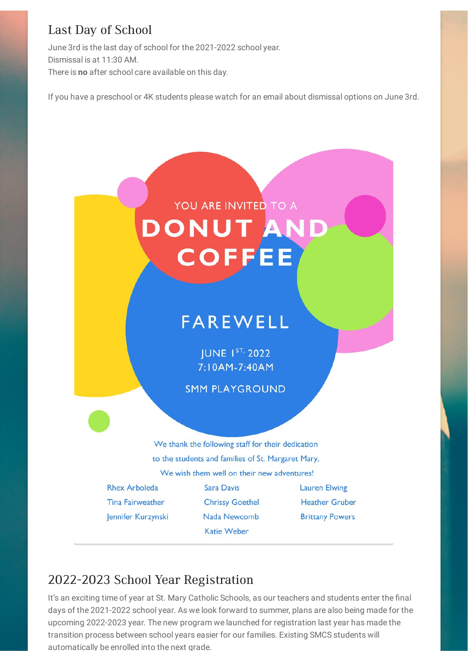#### Last Day of School

June 3rd is the last day of school for the 2021-2022 school year. Dismissal is at 11:30 AM. There is **no** after school care available on this day.

If you have a preschool or 4K students please watch for an email about dismissal options on June 3rd.

## YOU ARE INVITED TO A DONUT AN **COFFEE**

### **FAREWELL**

**JUNE 1ST, 2022** 7:10AM-7:40AM

**SMM PLAYGROUND** 

We thank the following staff for their dedication to the students and families of St. Margaret Mary. We wish them well on their new adventures!

**Rhex Arboleda Tina Fairweather** Jennifer Kurzynski

Sara Davis **Chrissy Goethel** Nada Newcomb Katie Weber

**Lauren Elwing Heather Gruber Brittany Powers** 

#### 2022-2023 School Year Registration

It's an exciting time of year at St. Mary Catholic Schools, as our teachers and students enter the final days of the 2021-2022 school year. As we look forward to summer, plans are also being made for the upcoming 2022-2023 year. The new program we launched for registration last year has made the transition process between school years easier for our families. Existing SMCS students will automatically be enrolled into the next grade.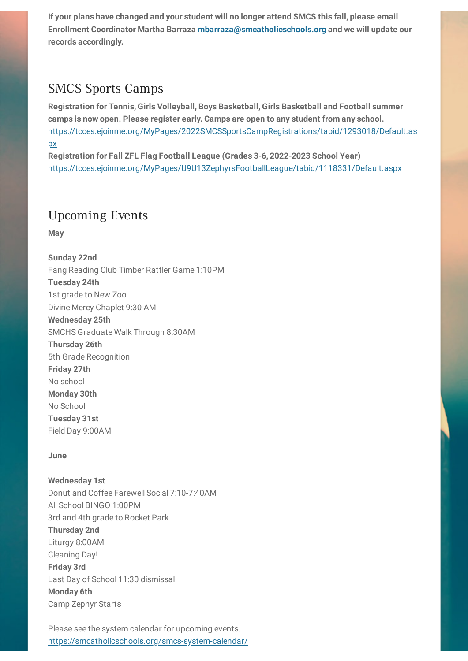**If your plans have changed and your student will no longer attend SMCS this fall, please email Enrollment Coordinator Martha Barraza [mbarraza@smcatholicschools.org](mailto:mbarraza@smcatholicschools.org) and we will update our records accordingly.**

#### SMCS Sports Camps

**Registration for Tennis, Girls Volleyball, Boys Basketball, Girls Basketball and Football summer camps is now open. Please register early. Camps are open to any student from any school.** [https://tcces.ejoinme.org/MyPages/2022SMCSSportsCampRegistrations/tabid/1293018/Default.as](https://tcces.ejoinme.org/MyPages/2022SMCSSportsCampRegistrations/tabid/1293018/Default.aspx) px

**Registration for Fall ZFL Flag Football League (Grades 3-6, 2022-2023 School Year)** <https://tcces.ejoinme.org/MyPages/U9U13ZephyrsFootballLeague/tabid/1118331/Default.aspx>

#### Upcoming Events

**May**

**Sunday 22nd** Fang Reading Club Timber Rattler Game 1:10PM **Tuesday 24th** 1st grade to New Zoo Divine Mercy Chaplet 9:30 AM **Wednesday 25th** SMCHS Graduate Walk Through 8:30AM **Thursday 26th** 5th Grade Recognition **Friday 27th** No school **Monday 30th** No School **Tuesday 31st** Field Day 9:00AM

#### **June**

**Wednesday 1st** Donut and Coffee Farewell Social 7:10-7:40AM All School BINGO 1:00PM 3rd and 4th grade to Rocket Park **Thursday 2nd** Liturgy 8:00AM Cleaning Day! **Friday 3rd** Last Day of School 11:30 dismissal **Monday 6th** Camp Zephyr Starts

Please see the system calendar for upcoming events. <https://smcatholicschools.org/smcs-system-calendar/>